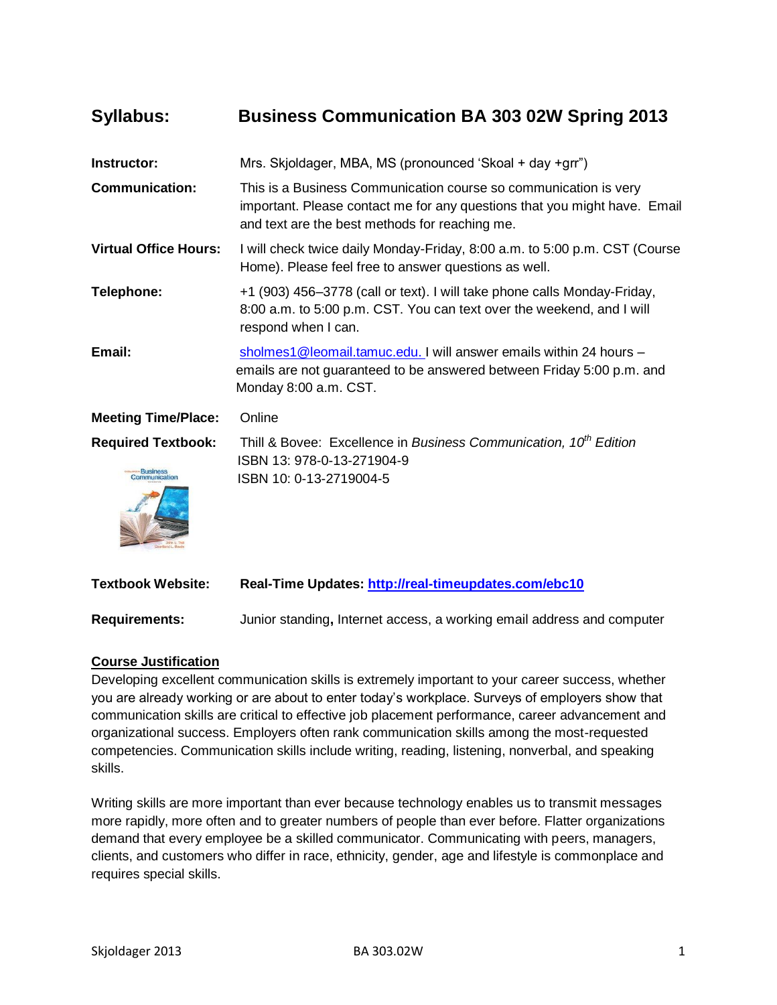# **Syllabus: Business Communication BA 303 02W Spring 2013**

| Instructor:                               | Mrs. Skjoldager, MBA, MS (pronounced 'Skoal + day +grr")                                                                                                                                        |
|-------------------------------------------|-------------------------------------------------------------------------------------------------------------------------------------------------------------------------------------------------|
| <b>Communication:</b>                     | This is a Business Communication course so communication is very<br>important. Please contact me for any questions that you might have. Email<br>and text are the best methods for reaching me. |
| <b>Virtual Office Hours:</b>              | I will check twice daily Monday-Friday, 8:00 a.m. to 5:00 p.m. CST (Course<br>Home). Please feel free to answer questions as well.                                                              |
| Telephone:                                | +1 (903) 456–3778 (call or text). I will take phone calls Monday-Friday,<br>8:00 a.m. to 5:00 p.m. CST. You can text over the weekend, and I will<br>respond when I can.                        |
| Email:                                    | sholmes1@leomail.tamuc.edu. I will answer emails within 24 hours -<br>emails are not guaranteed to be answered between Friday 5:00 p.m. and<br>Monday 8:00 a.m. CST.                            |
| <b>Meeting Time/Place:</b>                | Online                                                                                                                                                                                          |
| <b>Required Textbook:</b><br>pmmunication | Thill & Bovee: Excellence in Business Communication, 10 <sup>th</sup> Edition<br>ISBN 13: 978-0-13-271904-9<br>ISBN 10: 0-13-2719004-5                                                          |
| <b>Textbook Website:</b>                  | Real-Time Updates: http://real-timeupdates.com/ebc10                                                                                                                                            |

**Requirements:** Junior standing**,** Internet access, a working email address and computer

#### **Course Justification**

Developing excellent communication skills is extremely important to your career success, whether you are already working or are about to enter today's workplace. Surveys of employers show that communication skills are critical to effective job placement performance, career advancement and organizational success. Employers often rank communication skills among the most-requested competencies. Communication skills include writing, reading, listening, nonverbal, and speaking skills.

Writing skills are more important than ever because technology enables us to transmit messages more rapidly, more often and to greater numbers of people than ever before. Flatter organizations demand that every employee be a skilled communicator. Communicating with peers, managers, clients, and customers who differ in race, ethnicity, gender, age and lifestyle is commonplace and requires special skills.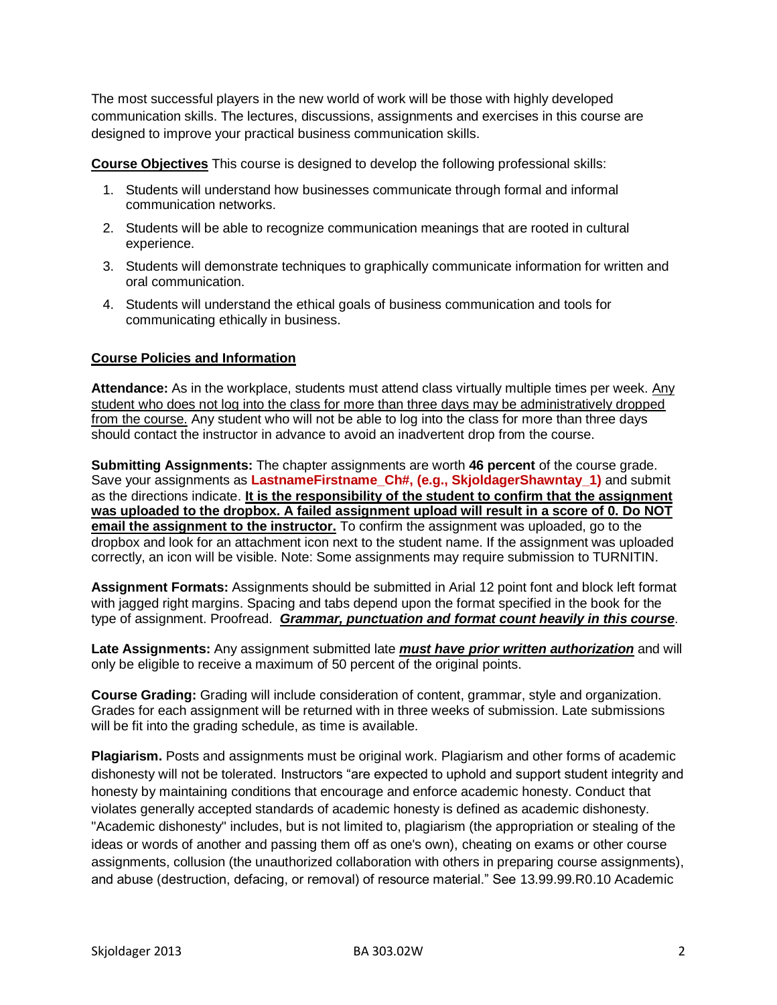The most successful players in the new world of work will be those with highly developed communication skills. The lectures, discussions, assignments and exercises in this course are designed to improve your practical business communication skills.

**Course Objectives** This course is designed to develop the following professional skills:

- 1. Students will understand how businesses communicate through formal and informal communication networks.
- 2. Students will be able to recognize communication meanings that are rooted in cultural experience.
- 3. Students will demonstrate techniques to graphically communicate information for written and oral communication.
- 4. Students will understand the ethical goals of business communication and tools for communicating ethically in business.

#### **Course Policies and Information**

**Attendance:** As in the workplace, students must attend class virtually multiple times per week. Any student who does not log into the class for more than three days may be administratively dropped from the course. Any student who will not be able to log into the class for more than three days should contact the instructor in advance to avoid an inadvertent drop from the course.

**Submitting Assignments:** The chapter assignments are worth **46 percent** of the course grade. Save your assignments as **LastnameFirstname\_Ch#, (e.g., SkjoldagerShawntay\_1)** and submit as the directions indicate. **It is the responsibility of the student to confirm that the assignment was uploaded to the dropbox. A failed assignment upload will result in a score of 0. Do NOT email the assignment to the instructor.** To confirm the assignment was uploaded, go to the dropbox and look for an attachment icon next to the student name. If the assignment was uploaded correctly, an icon will be visible. Note: Some assignments may require submission to TURNITIN.

**Assignment Formats:** Assignments should be submitted in Arial 12 point font and block left format with jagged right margins. Spacing and tabs depend upon the format specified in the book for the type of assignment. Proofread. *Grammar, punctuation and format count heavily in this course*.

**Late Assignments:** Any assignment submitted late *must have prior written authorization* and will only be eligible to receive a maximum of 50 percent of the original points.

**Course Grading:** Grading will include consideration of content, grammar, style and organization. Grades for each assignment will be returned with in three weeks of submission. Late submissions will be fit into the grading schedule, as time is available.

**Plagiarism.** Posts and assignments must be original work. Plagiarism and other forms of academic dishonesty will not be tolerated. Instructors "are expected to uphold and support student integrity and honesty by maintaining conditions that encourage and enforce academic honesty. Conduct that violates generally accepted standards of academic honesty is defined as academic dishonesty. "Academic dishonesty" includes, but is not limited to, plagiarism (the appropriation or stealing of the ideas or words of another and passing them off as one's own), cheating on exams or other course assignments, collusion (the unauthorized collaboration with others in preparing course assignments), and abuse (destruction, defacing, or removal) of resource material." See 13.99.99.R0.10 Academic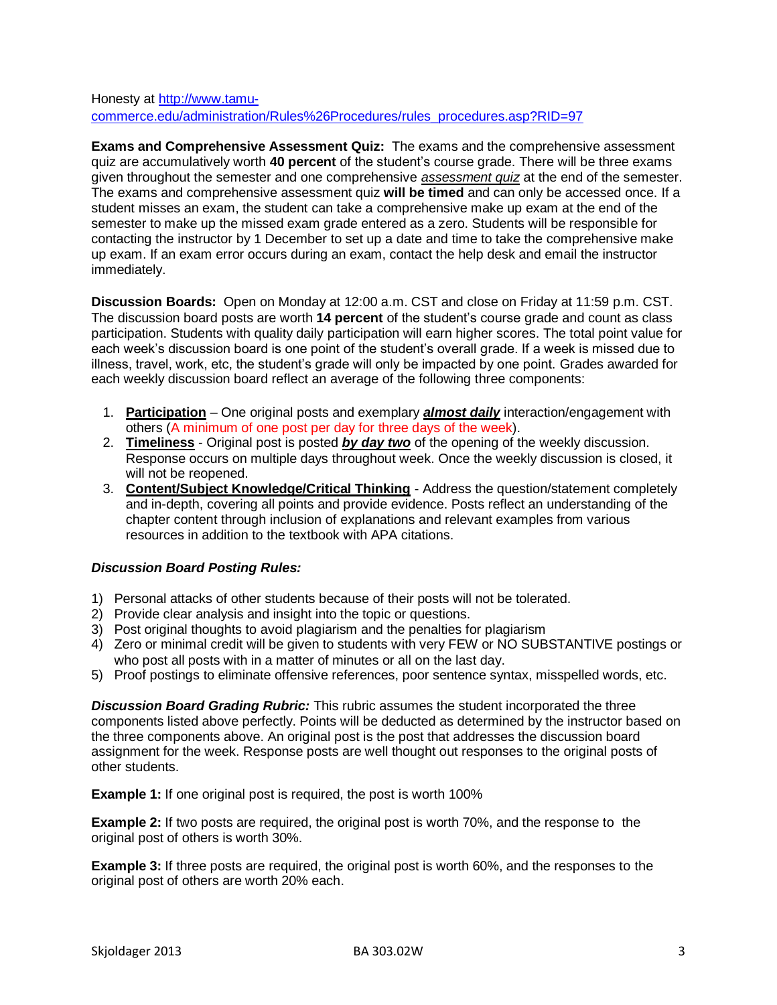#### Honesty at [http://www.tamu](http://www.tamu-commerce.edu/administration/Rules%26Procedures/rules_procedures.asp?RID=97)[commerce.edu/administration/Rules%26Procedures/rules\\_procedures.asp?RID=97](http://www.tamu-commerce.edu/administration/Rules%26Procedures/rules_procedures.asp?RID=97)

**Exams and Comprehensive Assessment Quiz:** The exams and the comprehensive assessment quiz are accumulatively worth **40 percent** of the student's course grade. There will be three exams given throughout the semester and one comprehensive *assessment quiz* at the end of the semester. The exams and comprehensive assessment quiz **will be timed** and can only be accessed once. If a student misses an exam, the student can take a comprehensive make up exam at the end of the semester to make up the missed exam grade entered as a zero. Students will be responsible for contacting the instructor by 1 December to set up a date and time to take the comprehensive make up exam. If an exam error occurs during an exam, contact the help desk and email the instructor immediately.

**Discussion Boards:** Open on Monday at 12:00 a.m. CST and close on Friday at 11:59 p.m. CST. The discussion board posts are worth **14 percent** of the student's course grade and count as class participation. Students with quality daily participation will earn higher scores. The total point value for each week's discussion board is one point of the student's overall grade. If a week is missed due to illness, travel, work, etc, the student's grade will only be impacted by one point. Grades awarded for each weekly discussion board reflect an average of the following three components:

- 1. **Participation** One original posts and exemplary *almost daily* interaction/engagement with others (A minimum of one post per day for three days of the week).
- 2. **Timeliness** Original post is posted *by day two* of the opening of the weekly discussion. Response occurs on multiple days throughout week. Once the weekly discussion is closed, it will not be reopened.
- 3. **Content/Subject Knowledge/Critical Thinking** Address the question/statement completely and in-depth, covering all points and provide evidence. Posts reflect an understanding of the chapter content through inclusion of explanations and relevant examples from various resources in addition to the textbook with APA citations.

## *Discussion Board Posting Rules:*

- 1) Personal attacks of other students because of their posts will not be tolerated.
- 2) Provide clear analysis and insight into the topic or questions.
- 3) Post original thoughts to avoid plagiarism and the penalties for plagiarism
- 4) Zero or minimal credit will be given to students with very FEW or NO SUBSTANTIVE postings or who post all posts with in a matter of minutes or all on the last day.
- 5) Proof postings to eliminate offensive references, poor sentence syntax, misspelled words, etc.

*Discussion Board Grading Rubric:* This rubric assumes the student incorporated the three components listed above perfectly. Points will be deducted as determined by the instructor based on the three components above. An original post is the post that addresses the discussion board assignment for the week. Response posts are well thought out responses to the original posts of other students.

**Example 1:** If one original post is required, the post is worth 100%

**Example 2:** If two posts are required, the original post is worth 70%, and the response to the original post of others is worth 30%.

**Example 3:** If three posts are required, the original post is worth 60%, and the responses to the original post of others are worth 20% each.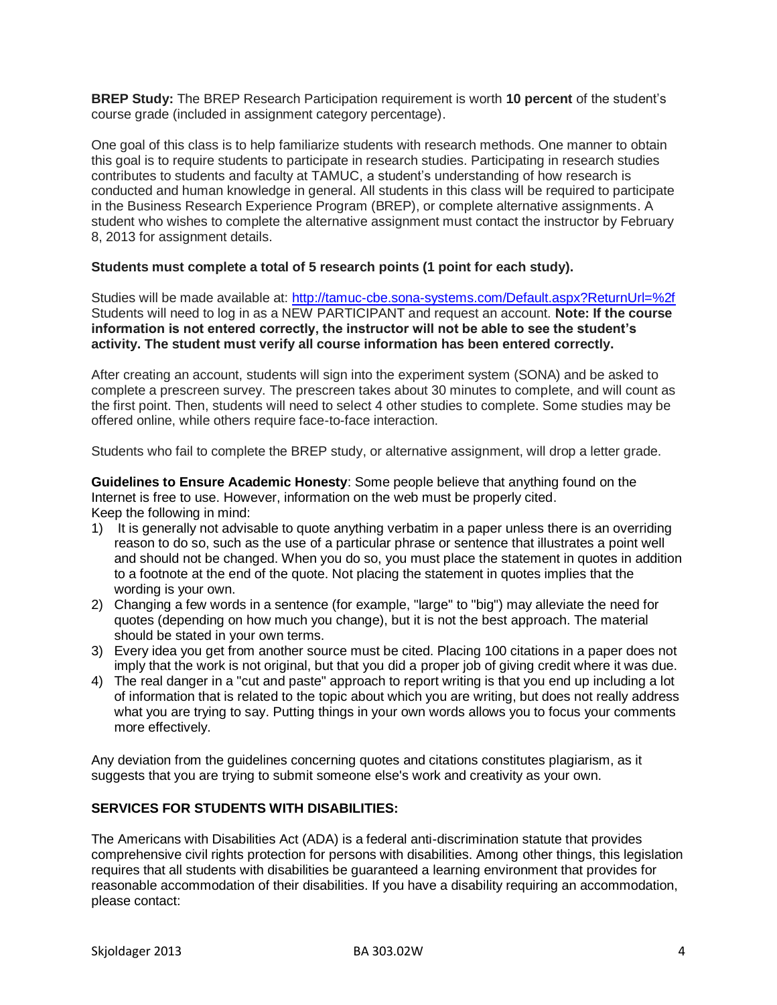**BREP Study:** The BREP Research Participation requirement is worth **10 percent** of the student's course grade (included in assignment category percentage).

One goal of this class is to help familiarize students with research methods. One manner to obtain this goal is to require students to participate in research studies. Participating in research studies contributes to students and faculty at TAMUC, a student's understanding of how research is conducted and human knowledge in general. All students in this class will be required to participate in the Business Research Experience Program (BREP), or complete alternative assignments. A student who wishes to complete the alternative assignment must contact the instructor by February 8, 2013 for assignment details.

#### **Students must complete a total of 5 research points (1 point for each study).**

Studies will be made available at: [http://tamuc-cbe.sona-systems.com/Default.aspx?ReturnUrl=%2f](http://tamuc-cbe.sona-systems.com/Default.aspx?ReturnUrl=/) Students will need to log in as a NEW PARTICIPANT and request an account. **Note: If the course information is not entered correctly, the instructor will not be able to see the student's activity. The student must verify all course information has been entered correctly.**

After creating an account, students will sign into the experiment system (SONA) and be asked to complete a prescreen survey. The prescreen takes about 30 minutes to complete, and will count as the first point. Then, students will need to select 4 other studies to complete. Some studies may be offered online, while others require face-to-face interaction.

Students who fail to complete the BREP study, or alternative assignment, will drop a letter grade.

**Guidelines to Ensure Academic Honesty**: Some people believe that anything found on the Internet is free to use. However, information on the web must be properly cited. Keep the following in mind:

- 1) It is generally not advisable to quote anything verbatim in a paper unless there is an overriding reason to do so, such as the use of a particular phrase or sentence that illustrates a point well and should not be changed. When you do so, you must place the statement in quotes in addition to a footnote at the end of the quote. Not placing the statement in quotes implies that the wording is your own.
- 2) Changing a few words in a sentence (for example, "large" to "big") may alleviate the need for quotes (depending on how much you change), but it is not the best approach. The material should be stated in your own terms.
- 3) Every idea you get from another source must be cited. Placing 100 citations in a paper does not imply that the work is not original, but that you did a proper job of giving credit where it was due.
- 4) The real danger in a "cut and paste" approach to report writing is that you end up including a lot of information that is related to the topic about which you are writing, but does not really address what you are trying to say. Putting things in your own words allows you to focus your comments more effectively.

Any deviation from the guidelines concerning quotes and citations constitutes plagiarism, as it suggests that you are trying to submit someone else's work and creativity as your own.

#### **SERVICES FOR STUDENTS WITH DISABILITIES:**

The Americans with Disabilities Act (ADA) is a federal anti-discrimination statute that provides comprehensive civil rights protection for persons with disabilities. Among other things, this legislation requires that all students with disabilities be guaranteed a learning environment that provides for reasonable accommodation of their disabilities. If you have a disability requiring an accommodation, please contact: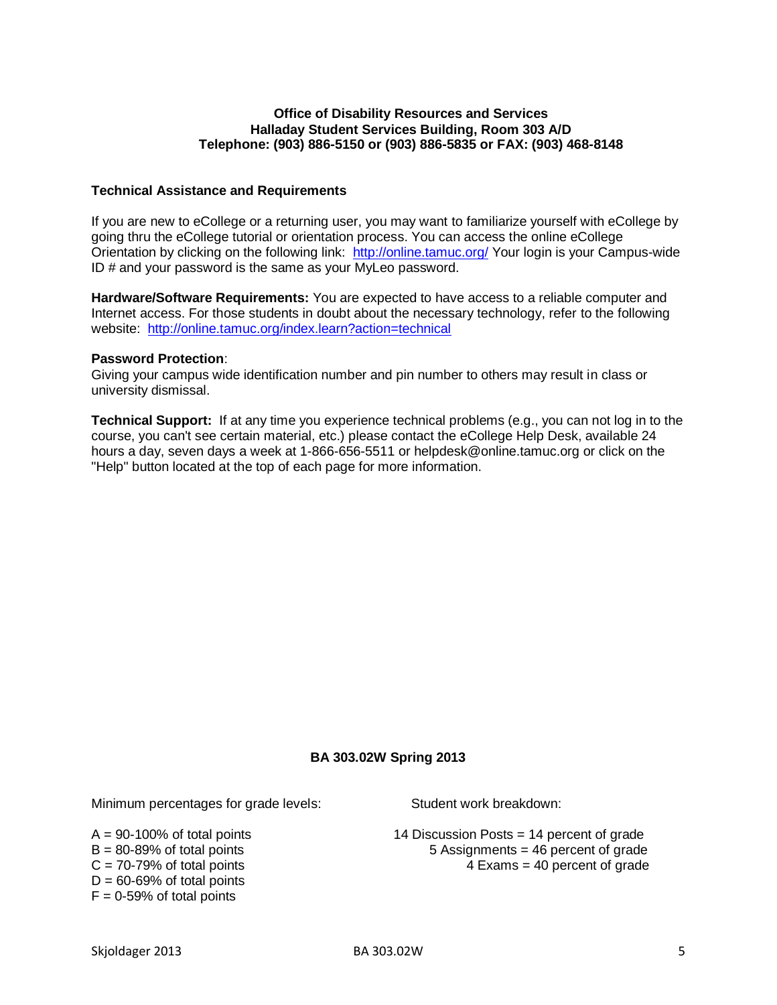#### **Office of Disability Resources and Services Halladay Student Services Building, Room 303 A/D Telephone: (903) 886-5150 or (903) 886-5835 or FAX: (903) 468-8148**

#### **Technical Assistance and Requirements**

If you are new to eCollege or a returning user, you may want to familiarize yourself with eCollege by going thru the eCollege tutorial or orientation process. You can access the online eCollege Orientation by clicking on the following link: <http://online.tamuc.org/> Your login is your Campus-wide ID # and your password is the same as your MyLeo password.

**Hardware/Software Requirements:** You are expected to have access to a reliable computer and Internet access. For those students in doubt about the necessary technology, refer to the following website: <http://online.tamuc.org/index.learn?action=technical>

#### **Password Protection**:

Giving your campus wide identification number and pin number to others may result in class or university dismissal.

**Technical Support:** If at any time you experience technical problems (e.g., you can not log in to the course, you can't see certain material, etc.) please contact the eCollege Help Desk, available 24 hours a day, seven days a week at 1-866-656-5511 or helpdesk@online.tamuc.org or click on the "Help" button located at the top of each page for more information.

#### **BA 303.02W Spring 2013**

Minimum percentages for grade levels: Student work breakdown:

 $D = 60 - 69%$  of total points  $F = 0.59\%$  of total points

 $A = 90-100\%$  of total points 14 Discussion Posts = 14 percent of grade  $B = 80-89\%$  of total points  $5$  Assignments  $= 46$  percent of grade  $C = 70-79\%$  of total points  $4$  Exams = 40 percent of grade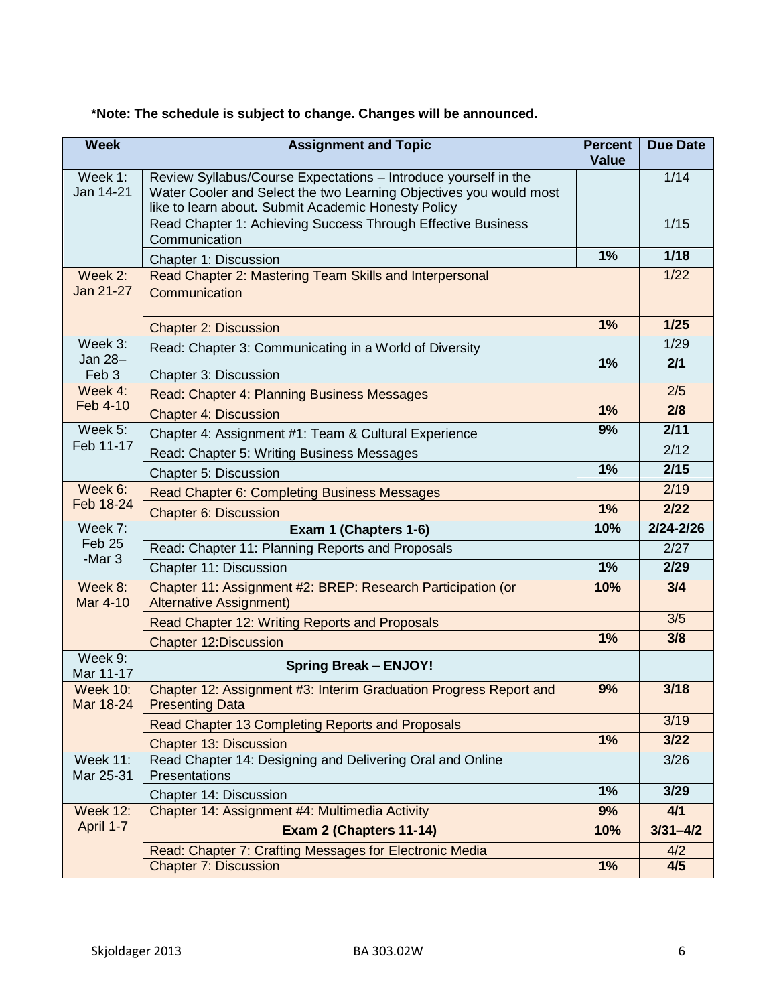| <b>Week</b>                            | <b>Assignment and Topic</b>                                                                                                                                                                  | <b>Percent</b><br><b>Value</b> | <b>Due Date</b> |
|----------------------------------------|----------------------------------------------------------------------------------------------------------------------------------------------------------------------------------------------|--------------------------------|-----------------|
| Week 1:<br>Jan 14-21                   | Review Syllabus/Course Expectations - Introduce yourself in the<br>Water Cooler and Select the two Learning Objectives you would most<br>like to learn about. Submit Academic Honesty Policy |                                | 1/14            |
|                                        | Read Chapter 1: Achieving Success Through Effective Business<br>Communication                                                                                                                |                                | 1/15            |
|                                        | Chapter 1: Discussion                                                                                                                                                                        | 1%                             | $1/18$          |
| Week 2:<br>Jan 21-27                   | Read Chapter 2: Mastering Team Skills and Interpersonal<br>Communication                                                                                                                     |                                | 1/22            |
|                                        | <b>Chapter 2: Discussion</b>                                                                                                                                                                 | 1%                             | $1/25$          |
| Week 3:<br>Jan 28-<br>Feb 3            | Read: Chapter 3: Communicating in a World of Diversity                                                                                                                                       |                                | 1/29            |
|                                        | Chapter 3: Discussion                                                                                                                                                                        | 1%                             | 2/1             |
| Week 4:                                | Read: Chapter 4: Planning Business Messages                                                                                                                                                  |                                | 2/5             |
| Feb 4-10                               | <b>Chapter 4: Discussion</b>                                                                                                                                                                 | 1%                             | 2/8             |
| Week 5:                                | Chapter 4: Assignment #1: Team & Cultural Experience                                                                                                                                         | 9%                             | 2/11            |
| Feb 11-17                              | Read: Chapter 5: Writing Business Messages                                                                                                                                                   |                                | 2/12            |
|                                        | Chapter 5: Discussion                                                                                                                                                                        | 1%                             | 2/15            |
| Week 6:                                | Read Chapter 6: Completing Business Messages                                                                                                                                                 |                                | 2/19            |
| Feb 18-24                              | <b>Chapter 6: Discussion</b>                                                                                                                                                                 | 1%                             | 2/22            |
| Week 7:<br>Feb 25<br>-Mar <sub>3</sub> | Exam 1 (Chapters 1-6)                                                                                                                                                                        | 10%                            | $2/24 - 2/26$   |
|                                        | Read: Chapter 11: Planning Reports and Proposals                                                                                                                                             |                                | 2/27            |
|                                        | Chapter 11: Discussion                                                                                                                                                                       | 1%                             | 2/29            |
| Week 8:<br>Mar 4-10                    | Chapter 11: Assignment #2: BREP: Research Participation (or<br><b>Alternative Assignment)</b>                                                                                                | 10%                            | 3/4             |
|                                        | Read Chapter 12: Writing Reports and Proposals                                                                                                                                               |                                | 3/5             |
|                                        | <b>Chapter 12:Discussion</b>                                                                                                                                                                 | 1%                             | 3/8             |
| Week 9:<br>Mar 11-17                   | <b>Spring Break - ENJOY!</b>                                                                                                                                                                 |                                |                 |
| <b>Week 10:</b><br>Mar 18-24           | Chapter 12: Assignment #3: Interim Graduation Progress Report and<br><b>Presenting Data</b>                                                                                                  | 9%                             | 3/18            |
|                                        | Read Chapter 13 Completing Reports and Proposals                                                                                                                                             |                                | 3/19            |
|                                        | <b>Chapter 13: Discussion</b>                                                                                                                                                                | $1\%$                          | $3/22$          |
| <b>Week 11:</b><br>Mar 25-31           | Read Chapter 14: Designing and Delivering Oral and Online<br>Presentations                                                                                                                   |                                | 3/26            |
|                                        | Chapter 14: Discussion                                                                                                                                                                       | 1%                             | 3/29            |
| <b>Week 12:</b>                        | Chapter 14: Assignment #4: Multimedia Activity                                                                                                                                               | 9%                             | 4/1             |
| April 1-7                              | Exam 2 (Chapters 11-14)                                                                                                                                                                      | 10%                            | $3/31 - 4/2$    |
|                                        | Read: Chapter 7: Crafting Messages for Electronic Media                                                                                                                                      |                                | 4/2             |
|                                        | <b>Chapter 7: Discussion</b>                                                                                                                                                                 | 1%                             | 4/5             |

## **\*Note: The schedule is subject to change. Changes will be announced.**